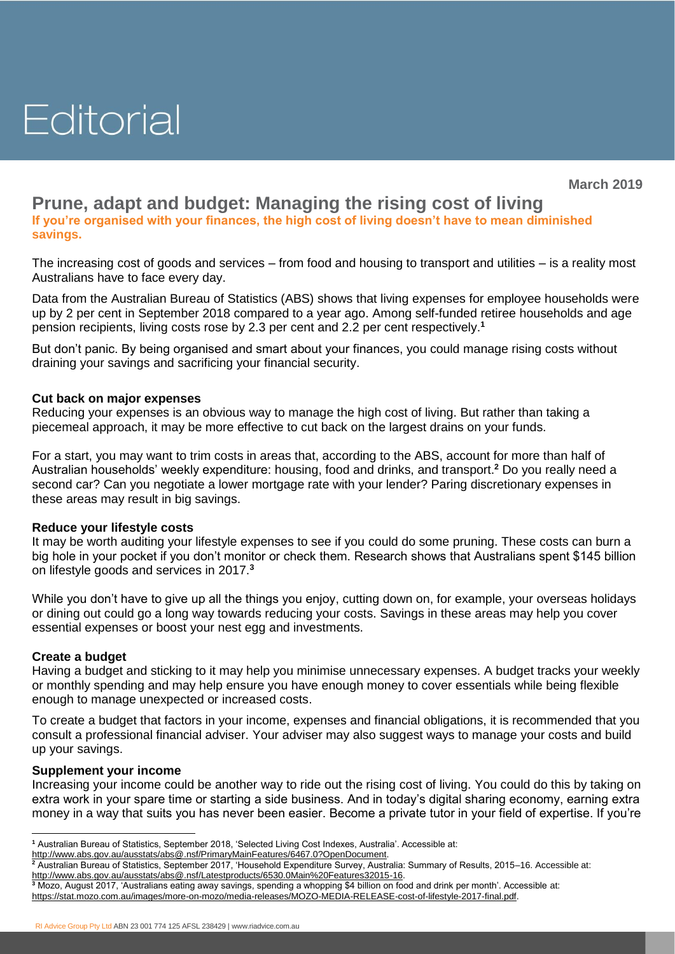# Editorial

**March 2019**

## **Prune, adapt and budget: Managing the rising cost of living**

**If you're organised with your finances, the high cost of living doesn't have to mean diminished savings.**

The increasing cost of goods and services – from food and housing to transport and utilities – is a reality most Australians have to face every day.

Data from the Australian Bureau of Statistics (ABS) shows that living expenses for employee households were up by 2 per cent in September 2018 compared to a year ago. Among self-funded retiree households and age pension recipients, living costs rose by 2.3 per cent and 2.2 per cent respectively.**<sup>1</sup>**

But don't panic. By being organised and smart about your finances, you could manage rising costs without draining your savings and sacrificing your financial security.

### **Cut back on major expenses**

Reducing your expenses is an obvious way to manage the high cost of living. But rather than taking a piecemeal approach, it may be more effective to cut back on the largest drains on your funds.

For a start, you may want to trim costs in areas that, according to the ABS, account for more than half of Australian households' weekly expenditure: housing, food and drinks, and transport. **<sup>2</sup>** Do you really need a second car? Can you negotiate a lower mortgage rate with your lender? Paring discretionary expenses in these areas may result in big savings.

#### **Reduce your lifestyle costs**

It may be worth auditing your lifestyle expenses to see if you could do some pruning. These costs can burn a big hole in your pocket if you don't monitor or check them. Research shows that Australians spent \$145 billion on lifestyle goods and services in 2017.**<sup>3</sup>**

While you don't have to give up all the things you enjoy, cutting down on, for example, your overseas holidays or dining out could go a long way towards reducing your costs. Savings in these areas may help you cover essential expenses or boost your nest egg and investments.

#### **Create a budget**

Having a budget and sticking to it may help you minimise unnecessary expenses. A budget tracks your weekly or monthly spending and may help ensure you have enough money to cover essentials while being flexible enough to manage unexpected or increased costs.

To create a budget that factors in your income, expenses and financial obligations, it is recommended that you consult a professional financial adviser. Your adviser may also suggest ways to manage your costs and build up your savings.

#### **Supplement your income**

Increasing your income could be another way to ride out the rising cost of living. You could do this by taking on extra work in your spare time or starting a side business. And in today's digital sharing economy, earning extra money in a way that suits you has never been easier. Become a private tutor in your field of expertise. If you're

RI Advice Group Pty Ltd ABN 23 001 774 125 AFSL 238429 | [www.riadvice.com.au](http://www.riadvice.com.au/)

 **<sup>1</sup>** Australian Bureau of Statistics, September 2018, 'Selected Living Cost Indexes, Australia'. Accessible at:

[http://www.abs.gov.au/ausstats/abs@.nsf/PrimaryMainFeatures/6467.0?OpenDocument.](http://www.abs.gov.au/ausstats/abs@.nsf/PrimaryMainFeatures/6467.0?OpenDocument)

**<sup>2</sup>** Australian Bureau of Statistics, September 2017, 'Household Expenditure Survey, Australia: Summary of Results, 2015–16. Accessible at: [http://www.abs.gov.au/ausstats/abs@.nsf/Latestproducts/6530.0Main%20Features32015-16.](http://www.abs.gov.au/ausstats/abs@.nsf/Latestproducts/6530.0Main%20Features32015-16)

**<sup>3</sup>** Mozo, August 2017, 'Australians eating away savings, spending a whopping \$4 billion on food and drink per month'. Accessible at: <https://stat.mozo.com.au/images/more-on-mozo/media-releases/MOZO-MEDIA-RELEASE-cost-of-lifestyle-2017-final.pdf>.